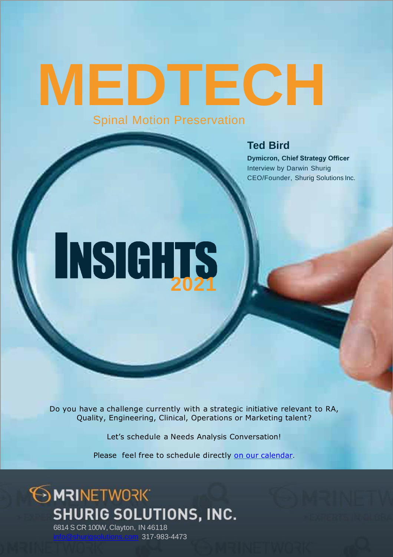# **MEDTECH** Spinal Motion Preservation

#### **Ted Bird**

**Dymicron, Chief Strategy Officer** Interview by Darwin Shurig CEO/Founder, Shurig Solutions Inc.

# **2020 NSIGHTS**

Do you have a challenge currently with a strategic initiative relevant to RA, Quality, Engineering, Clinical, Operations or Marketing talent?

Let's schedule a Needs Analysis Conversation!

Please feel free to schedule directly on our [calendar](https://my.timetrade.com/book/HJVWP).

### **OMRINETWORK** SHURIG SOLUTIONS, INC. 6814 S CR 100W, Clayton, IN 46118

317-983-4473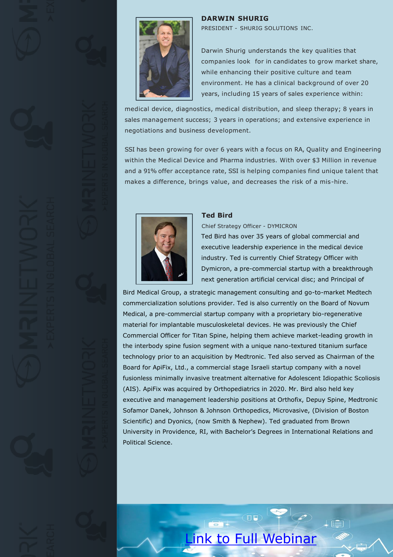

#### **DARWIN SHURIG**

PRESIDENT - SHURIG SOLUTIONS INC.

Darwin Shurig understands the key qualities that companies look for in candidates to grow market share, while enhancing their positive culture and team environment. He has a clinical background of over 20 years, including 15 years of sales experience within:

medical device, diagnostics, medical distribution, and sleep therapy; 8 years in sales management success; 3 years in operations; and extensive experience in negotiations and business development.

SSI has been growing for over 6 years with a focus on RA, Quality and Engineering within the Medical Device and Pharma industries. With over \$3 Million in revenue and a 91% offer acceptance rate, SSI is helping companies find unique talent that makes a difference, brings value, and decreases the risk of a mis-hire.



#### **Ted Bird**

Chief Strategy Officer - DYMICRON

Ted Bird has over 35 years of global commercial and executive leadership experience in the medical device industry. Ted is currently Chief Strategy Officer with Dymicron, a pre-commercial startup with a breakthrough next generation artificial cervical disc; and Principal of

Bird Medical Group, a strategic management consulting and go-to-market Medtech commercialization solutions provider. Ted is also currently on the Board of Novum Medical, a pre-commercial startup company with a proprietary bio-regenerative material for implantable musculoskeletal devices. He was previously the Chief Commercial Officer for Titan Spine, helping them achieve market-leading growth in the interbody spine fusion segment with a unique nano-textured titanium surface technology prior to an acquisition by Medtronic. Ted also served as Chairman of the Board for ApiFix, Ltd., a commercial stage Israeli startup company with a novel fusionless minimally invasive treatment alternative for Adolescent Idiopathic Scoliosis (AIS). ApiFix was acquired by Orthopediatrics in 2020. Mr. Bird also held key executive and management leadership positions at Orthofix, Depuy Spine, Medtronic Sofamor Danek, Johnson & Johnson Orthopedics, Microvasive, (Division of Boston Scientific) and Dyonics, (now Smith & Nephew). Ted graduated from Brown University in Providence, RI, with Bachelor's Degrees in International Relations and Political Science.

## [Link to Full Webinar](https://youtu.be/x4kraI1GUx8)

 $\overline{\bullet}$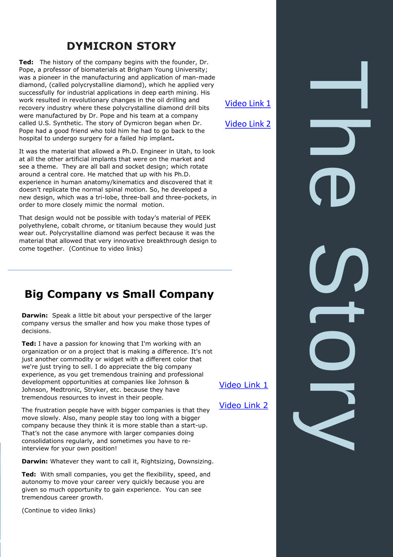#### **DYMICRON STORY**

**Ted:** The history of the company begins with the founder, Dr. Pope, a professor of biomaterials at Brigham Young University; was a pioneer in the manufacturing and application of man-made diamond, (called polycrystalline diamond), which he applied very successfully for industrial applications in deep earth mining. His work resulted in revolutionary changes in the oil drilling and recovery industry where these polycrystalline diamond drill bits were manufactured by Dr. Pope and his team at a company called U.S. Synthetic. The story of Dymicron began when Dr. Pope had a good friend who told him he had to go back to the hospital to undergo surgery for a failed hip implant**.** 

[Video Link 1](https://youtu.be/TwLL7IkGcow)

[Video Link 2](https://youtu.be/xdsQnGdFWYI)

The Story

It was the material that allowed a Ph.D. Engineer in Utah, to look at all the other artificial implants that were on the market and see a theme. They are all ball and socket design; which rotate around a central core. He matched that up with his Ph.D. experience in human anatomy/kinematics and discovered that it doesn't replicate the normal spinal motion. So, he developed a new design, which was a tri-lobe, three-ball and three-pockets, in order to more closely mimic the normal motion.

That design would not be possible with today's material of PEEK polyethylene, cobalt chrome, or titanium because they would just wear out. Polycrystalline diamond was perfect because it was the material that allowed that very innovative breakthrough design to come together. (Continue to video links)

#### **Big Company vs Small Company**

**Darwin:** Speak a little bit about your perspective of the larger company versus the smaller and how you make those types of decisions.

**Ted:** I have a passion for knowing that I'm working with an organization or on a project that is making a difference. It's not just another commodity or widget with a different color that we're just trying to sell. I do appreciate the big company experience, as you get tremendous training and professional development opportunities at companies like Johnson & Johnson, Medtronic, Stryker, etc. because they have tremendous resources to invest in their people.

[Video Link 1](https://youtu.be/arLahDGyQAU)

[Video Link 2](https://youtu.be/ivkzSItnkJk)

The frustration people have with bigger companies is that they move slowly. Also, many people stay too long with a bigger company because they think it is more stable than a start-up. That's not the case anymore with larger companies doing consolidations regularly, and sometimes you have to reinterview for your own position!

**Darwin:** Whatever they want to call it, Rightsizing, Downsizing.

**Ted:** With small companies, you get the flexibility, speed, and autonomy to move your career very quickly because you are given so much opportunity to gain experience. You can see tremendous career growth.

(Continue to video links)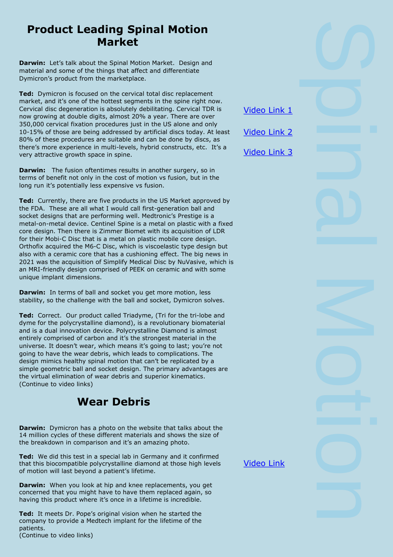#### **Product Leading Spinal Motion Market**

**Darwin:** Let's talk about the Spinal Motion Market. Design and material and some of the things that affect and differentiate Dymicron's product from the marketplace.

**Ted:** Dymicron is focused on the cervical total disc replacement market, and it's one of the hottest segments in the spine right now. Cervical disc degeneration is absolutely debilitating. Cervical TDR is now growing at double digits, almost 20% a year. There are over 350,000 cervical fixation procedures just in the US alone and only 10-15% of those are being addressed by artificial discs today. At least 80% of these procedures are suitable and can be done by discs, as there's more experience in multi-levels, hybrid constructs, etc. It's a very attractive growth space in spine.

**Darwin:** The fusion oftentimes results in another surgery, so in terms of benefit not only in the cost of motion vs fusion, but in the long run it's potentially less expensive vs fusion.

**Ted:** Currently, there are five products in the US Market approved by the FDA. These are all what I would call first-generation ball and socket designs that are performing well. Medtronic's Prestige is a metal-on-metal device. Centinel Spine is a metal on plastic with a fixed core design. Then there is Zimmer Biomet with its acquisition of LDR for their Mobi-C Disc that is a metal on plastic mobile core design. Orthofix acquired the M6-C Disc, which is viscoelastic type design but also with a ceramic core that has a cushioning effect. The big news in 2021 was the acquisition of Simplify Medical Disc by NuVasive, which is an MRI-friendly design comprised of PEEK on ceramic and with some unique implant dimensions.

**Darwin:** In terms of ball and socket you get more motion, less stability, so the challenge with the ball and socket, Dymicron solves.

**Ted:** Correct. Our product called Triadyme, (Tri for the tri-lobe and dyme for the polycrystalline diamond), is a revolutionary biomaterial and is a dual innovation device. Polycrystalline Diamond is almost entirely comprised of carbon and it's the strongest material in the universe. It doesn't wear, which means it's going to last; you're not going to have the wear debris, which leads to complications. The design mimics healthy spinal motion that can't be replicated by a simple geometric ball and socket design. The primary advantages are the virtual elimination of wear debris and superior kinematics. (Continue to video links)

#### **Wear Debris**

**Darwin:** Dymicron has a photo on the website that talks about the 14 million cycles of these different materials and shows the size of the breakdown in comparison and it's an amazing photo.

**Ted:** We did this test in a special lab in Germany and it confirmed that this biocompatible polycrystalline diamond at those high levels of motion will last beyond a patient's lifetime.

**Darwin:** When you look at hip and knee replacements, you get concerned that you might have to have them replaced again, so having this product where it's once in a lifetime is incredible.

**Ted:** It meets Dr. Pope's original vision when he started the company to provide a Medtech implant for the lifetime of the patients. (Continue to video links)

[Video Link 1](https://youtu.be/EziB9p7IMsk)

[Video Link 2](https://youtu.be/KAJbupxrrL4)

[Video Link 3](https://youtu.be/wHyGaZ73sH8)

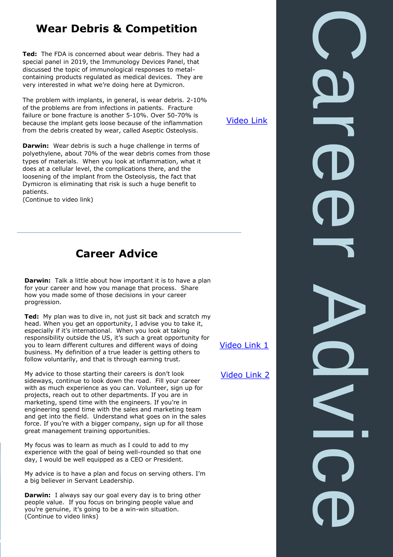#### **Wear Debris & Competition**

**Ted:** The FDA is concerned about wear debris. They had a special panel in 2019, the Immunology Devices Panel, that discussed the topic of immunological responses to metalcontaining products regulated as medical devices. They are very interested in what we're doing here at Dymicron.

The problem with implants, in general, is wear debris. 2-10% of the problems are from infections in patients. Fracture failure or bone fracture is another 5-10%. Over 50-70% is because the implant gets loose because of the inflammation from the debris created by wear, called Aseptic Osteolysis.

**Darwin:** Wear debris is such a huge challenge in terms of polyethylene, about 70% of the wear debris comes from those types of materials. When you look at inflammation, what it does at a cellular level, the complications there, and the loosening of the implant from the Osteolysis, the fact that Dymicron is eliminating that risk is such a huge benefit to patients.

(Continue to video link)

#### **Career Advice**

**Darwin:** Talk a little about how important it is to have a plan for your career and how you manage that process. Share how you made some of those decisions in your career progression.

**Ted:** My plan was to dive in, not just sit back and scratch my head. When you get an opportunity, I advise you to take it, especially if it's international. When you look at taking responsibility outside the US, it's such a great opportunity for you to learn different cultures and different ways of doing business. My definition of a true leader is getting others to follow voluntarily, and that is through earning trust.

My advice to those starting their careers is don't look sideways, continue to look down the road. Fill your career with as much experience as you can. Volunteer, sign up for projects, reach out to other departments. If you are in marketing, spend time with the engineers. If you're in engineering spend time with the sales and marketing team and get into the field. Understand what goes on in the sales force. If you're with a bigger company, sign up for all those great management training opportunities.

My focus was to learn as much as I could to add to my experience with the goal of being well-rounded so that one day, I would be well equipped as a CEO or President.

My advice is to have a plan and focus on serving others. I'm a big believer in Servant Leadership.

**Darwin:** I always say our goal every day is to bring other people value. If you focus on bringing people value and you're genuine, it's going to be a win-win situation. (Continue to video links)

[Video Link](https://youtu.be/q7MHIBFlmS8)

[Video Link 1](https://youtu.be/q7MHIBFlmS8)

Career Advice

[Video Link 2](https://youtu.be/q7MHIBFlmS8)